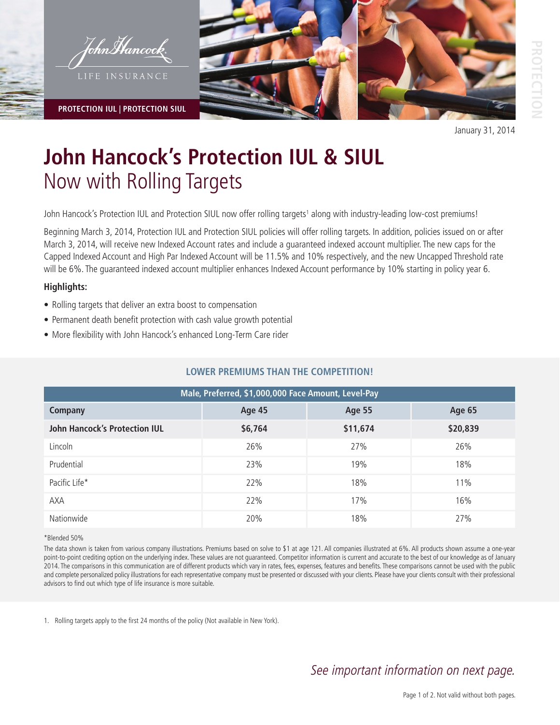

**PROTECTION IUL | PROTECTION SIUL**



January 31, 2014

# **John Hancock's Protection IUL & SIUL**  Now with Rolling Targets

John Hancock's Protection IUL and Protection SIUL now offer rolling targets<sup>1</sup> along with industry-leading low-cost premiums!

Beginning March 3, 2014, Protection IUL and Protection SIUL policies will offer rolling targets. In addition, policies issued on or after March 3, 2014, will receive new Indexed Account rates and include a guaranteed indexed account multiplier. The new caps for the Capped Indexed Account and High Par Indexed Account will be 11.5% and 10% respectively, and the new Uncapped Threshold rate will be 6%. The guaranteed indexed account multiplier enhances Indexed Account performance by 10% starting in policy year 6.

### **Highlights:**

- Rolling targets that deliver an extra boost to compensation
- Permanent death benefit protection with cash value growth potential
- More flexibility with John Hancock's enhanced Long-Term Care rider

## **LOWER PREMIUMS THAN THE COMPETITION!**

| Male, Preferred, \$1,000,000 Face Amount, Level-Pay |               |               |               |
|-----------------------------------------------------|---------------|---------------|---------------|
| <b>Company</b>                                      | <b>Age 45</b> | <b>Age 55</b> | <b>Age 65</b> |
| <b>John Hancock's Protection IUL</b>                | \$6,764       | \$11,674      | \$20,839      |
| Lincoln                                             | 26%           | 27%           | 26%           |
| Prudential                                          | 23%           | 19%           | 18%           |
| Pacific Life*                                       | 22%           | 18%           | 11%           |
| <b>AXA</b>                                          | 22%           | 17%           | 16%           |
| Nationwide                                          | 20%           | 18%           | 27%           |

### \*Blended 50%

The data shown is taken from various company illustrations. Premiums based on solve to \$1 at age 121. All companies illustrated at 6%. All products shown assume a one-year point-to-point crediting option on the underlying index. These values are not guaranteed. Competitor information is current and accurate to the best of our knowledge as of January 2014. The comparisons in this communication are of different products which vary in rates, fees, expenses, features and benefits. These comparisons cannot be used with the public and complete personalized policy illustrations for each representative company must be presented or discussed with your clients. Please have your clients consult with their professional advisors to find out which type of life insurance is more suitable.

1. Rolling targets apply to the first 24 months of the policy (Not available in New York).

# See important information on next page.